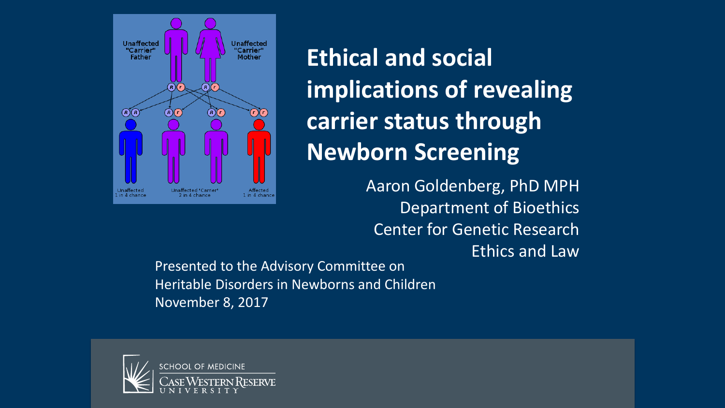

**Ethical and social implications of revealing carrier status through Newborn Screening**

> Aaron Goldenberg, PhD MPH Department of Bioethics Center for Genetic Research Ethics and Law

Presented to the Advisory Committee on Heritable Disorders in Newborns and Children November 8, 2017

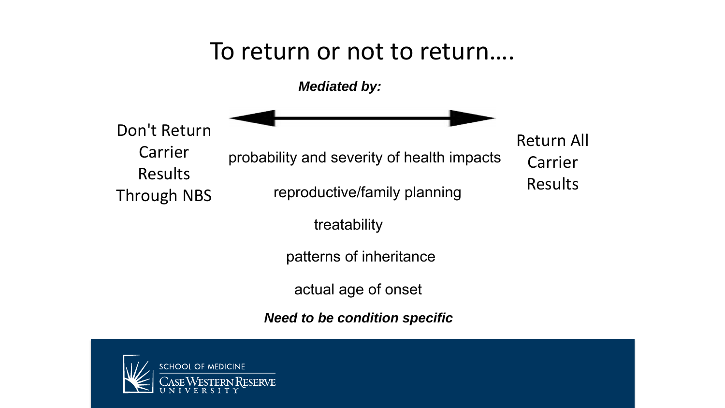## To return or not to return….

*Mediated by:*

Don't Return Carrier

Results

Through NBS

probability and severity of health impacts

reproductive/family planning

Return All Carrier Results

treatability

patterns of inheritance

actual age of onset

*Need to be condition specific*

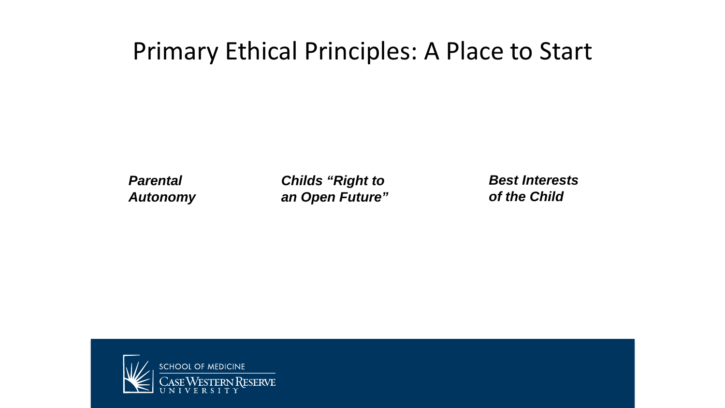## Primary Ethical Principles: A Place to Start

*Parental Autonomy* *Childs "Right to an Open Future"* *Best Interests of the Child*

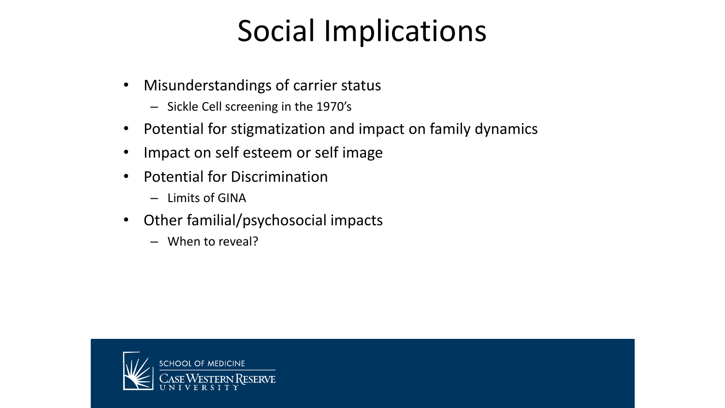# Social Implications

- Misunderstandings of carrier status
	- Sickle Cell screening in the 1970's
- Potential for stigmatization and impact on family dynamics
- Impact on self esteem or self image
- Potential for Discrimination
	- Limits of GINA
- Other familial/psychosocial impacts
	- When to reveal?

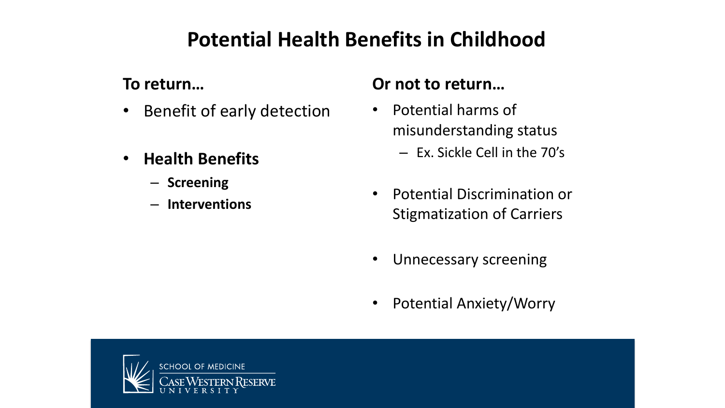### **Potential Health Benefits in Childhood**

#### **To return…**

- Benefit of early detection
- **Health Benefits** 
	- **Screening**
	- **Interventions**

#### **Or not to return…**

- Potential harms of misunderstanding status
	- Ex. Sickle Cell in the 70's
- Potential Discrimination or Stigmatization of Carriers
- Unnecessary screening
- Potential Anxiety/Worry

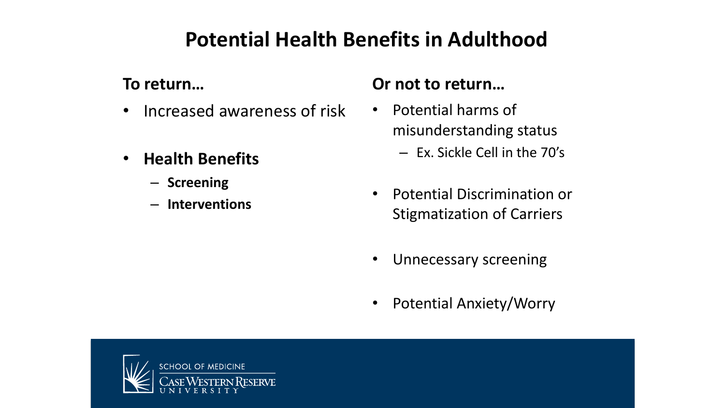### **Potential Health Benefits in Adulthood**

#### **To return…**

- Increased awareness of risk
- **Health Benefits** 
	- **Screening**
	- **Interventions**

#### **Or not to return…**

- Potential harms of misunderstanding status
	- Ex. Sickle Cell in the 70's
- Potential Discrimination or Stigmatization of Carriers
- Unnecessary screening
- Potential Anxiety/Worry

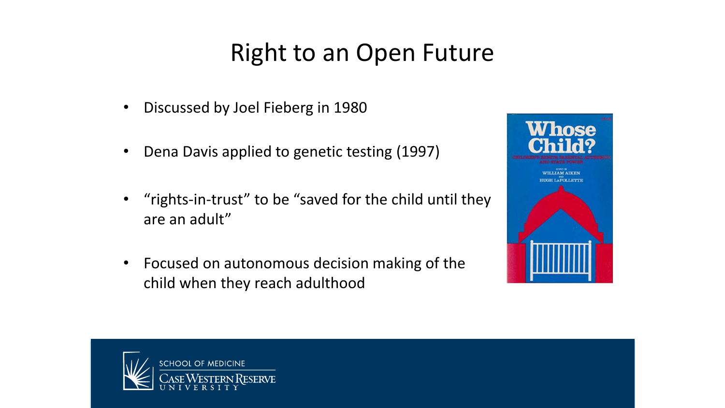# Right to an Open Future

- Discussed by Joel Fieberg in 1980
- Dena Davis applied to genetic testing (1997)
- "rights-in-trust" to be "saved for the child until they are an adult"
- Focused on autonomous decision making of the child when they reach adulthood



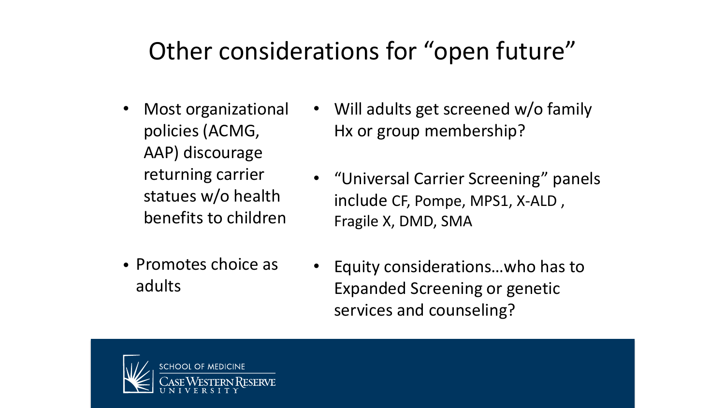# Other considerations for "open future"

- Most organizational policies (ACMG, AAP) discourage returning carrier statues w/o health benefits to children
- Promotes choice as adults
- Will adults get screened w/o family Hx or group membership?
- "Universal Carrier Screening" panels include CF, Pompe, MPS1, X-ALD , Fragile X, DMD, SMA
- Equity considerations…who has to Expanded Screening or genetic services and counseling?

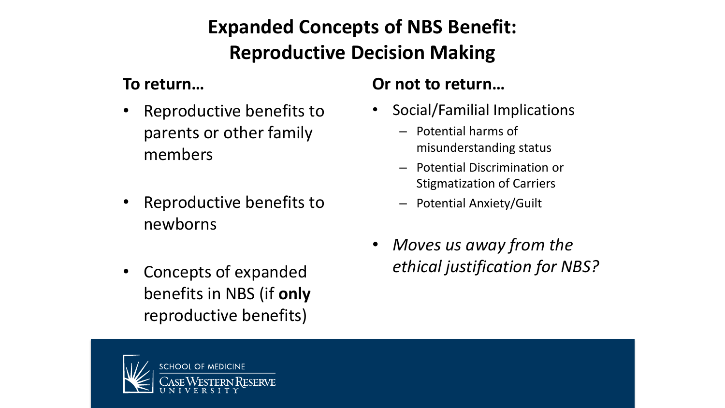### **Expanded Concepts of NBS Benefit: Reproductive Decision Making**

#### **To return…**

- Reproductive benefits to parents or other family members
- Reproductive benefits to newborns
- Concepts of expanded benefits in NBS (if **only** reproductive benefits)

#### **Or not to return…**

- Social/Familial Implications
	- Potential harms of misunderstanding status
	- Potential Discrimination or Stigmatization of Carriers
	- Potential Anxiety/Guilt
- *Moves us away from the ethical justification for NBS?*

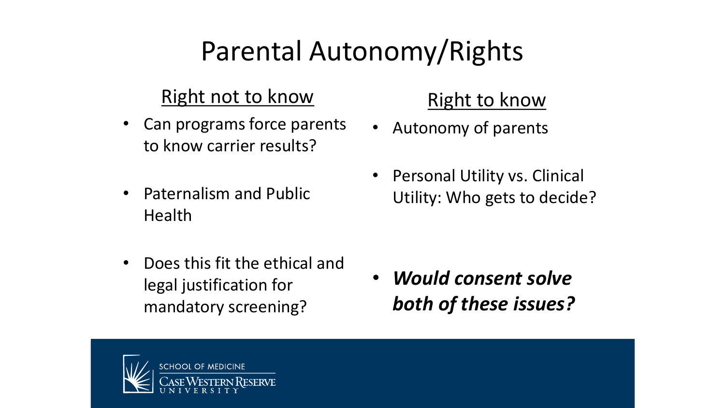# Parental Autonomy/Rights

#### Right not to know

- Can programs force parents to know carrier results?
- Paternalism and Public Health
- Does this fit the ethical and legal justification for mandatory screening?

### Right to know

- Autonomy of parents
- Personal Utility vs. Clinical Utility: Who gets to decide?

• *Would consent solve both of these issues?* 

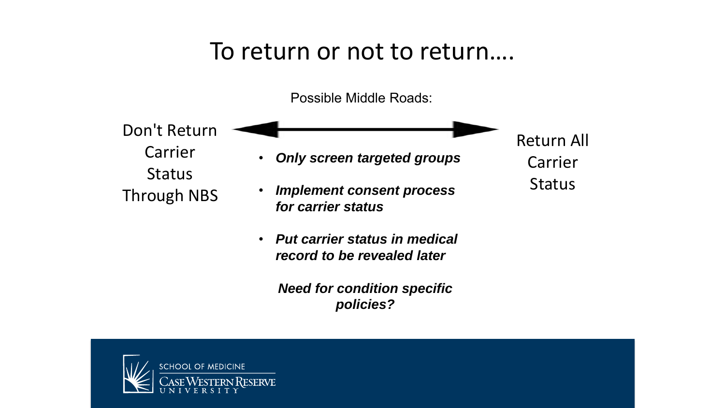## To return or not to return….

Possible Middle Roads:

Don't Return Carrier **Status** Through NBS

• *Only screen targeted groups*

Return All

Carrier

Status

- *Implement consent process for carrier status*
- *Put carrier status in medical record to be revealed later*

*Need for condition specific policies?*

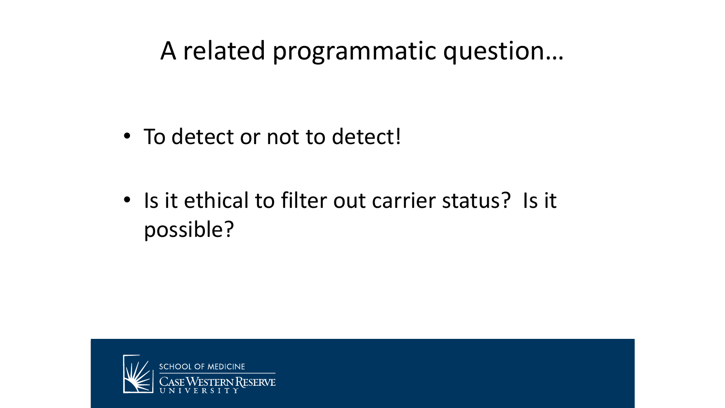# A related programmatic question…

- To detect or not to detect!
- Is it ethical to filter out carrier status? Is it possible?

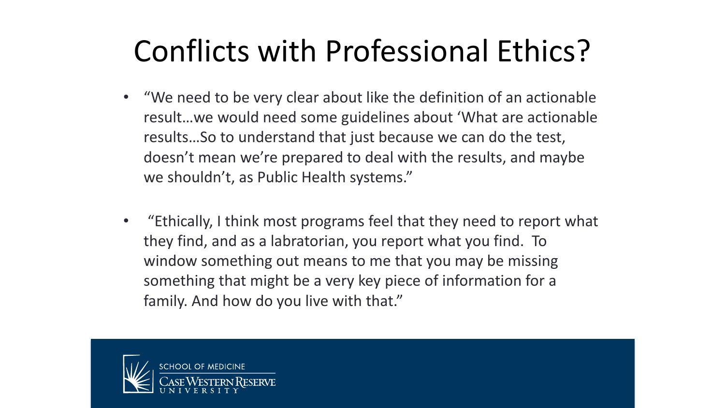# Conflicts with Professional Ethics?

- "We need to be very clear about like the definition of an actionable result…we would need some guidelines about 'What are actionable results…So to understand that just because we can do the test, doesn't mean we're prepared to deal with the results, and maybe we shouldn't, as Public Health systems."
- "Ethically, I think most programs feel that they need to report what they find, and as a labratorian, you report what you find. To window something out means to me that you may be missing something that might be a very key piece of information for a family. And how do you live with that."

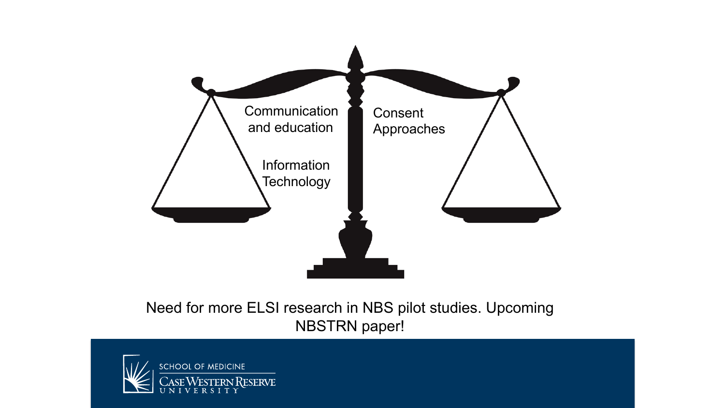

#### Need for more ELSI research in NBS pilot studies. Upcoming NBSTRN paper!